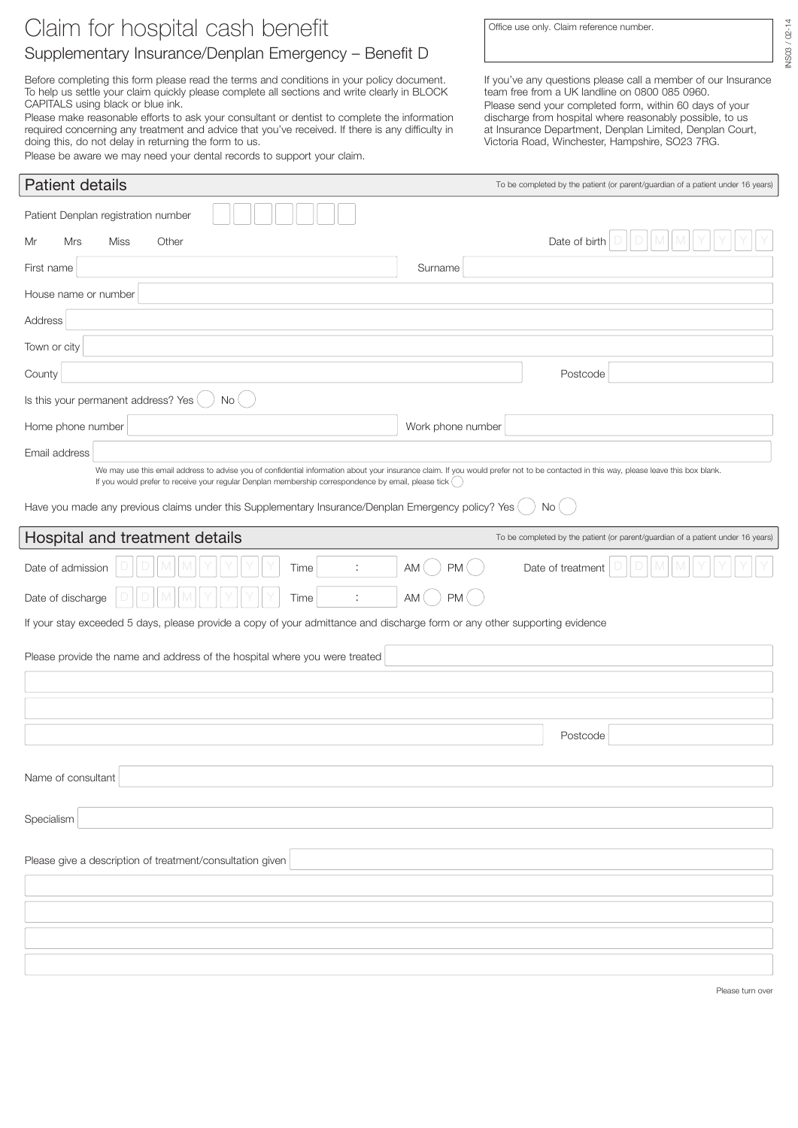## Claim for hospital cash benefit

## Supplementary Insurance/Denplan Emergency – Benefit D

Before completing this form please read the terms and conditions in your policy document. To help us settle your claim quickly please complete all sections and write clearly in BLOCK CAPITALS using black or blue ink.

Please make reasonable efforts to ask your consultant or dentist to complete the information required concerning any treatment and advice that you've received. If there is any difficulty in doing this, do not delay in returning the form to us.

Please be aware we may need your dental records to support your claim.

Office use only. Claim reference number.

NS03 / 02-14 INS03 / 02-14

If you've any questions please call a member of our Insurance team free from a UK landline on 0800 085 0960.

Please send your completed form, within 60 days of your discharge from hospital where reasonably possible, to us at Insurance Department, Denplan Limited, Denplan Court, Victoria Road, Winchester, Hampshire, SO23 7RG.

| <b>Patient details</b>                                                                                                                                                                                                                                                                           | To be completed by the patient (or parent/guardian of a patient under 16 years) |  |  |
|--------------------------------------------------------------------------------------------------------------------------------------------------------------------------------------------------------------------------------------------------------------------------------------------------|---------------------------------------------------------------------------------|--|--|
| Patient Denplan registration number                                                                                                                                                                                                                                                              |                                                                                 |  |  |
| Other<br>Mr<br>Mrs<br>Miss                                                                                                                                                                                                                                                                       | Date of birth                                                                   |  |  |
| First name                                                                                                                                                                                                                                                                                       | Surname                                                                         |  |  |
| House name or number                                                                                                                                                                                                                                                                             |                                                                                 |  |  |
| Address                                                                                                                                                                                                                                                                                          |                                                                                 |  |  |
| Town or city                                                                                                                                                                                                                                                                                     |                                                                                 |  |  |
| County                                                                                                                                                                                                                                                                                           | Postcode                                                                        |  |  |
| Is this your permanent address? Yes<br>No                                                                                                                                                                                                                                                        |                                                                                 |  |  |
| Home phone number                                                                                                                                                                                                                                                                                | Work phone number                                                               |  |  |
| Email address                                                                                                                                                                                                                                                                                    |                                                                                 |  |  |
| We may use this email address to advise you of confidential information about your insurance claim. If you would prefer not to be contacted in this way, please leave this box blank.<br>If you would prefer to receive your regular Denplan membership correspondence by email, please tick ( ) |                                                                                 |  |  |
| Have you made any previous claims under this Supplementary Insurance/Denplan Emergency policy? Yes                                                                                                                                                                                               | No(                                                                             |  |  |
| Hospital and treatment details                                                                                                                                                                                                                                                                   | To be completed by the patient (or parent/guardian of a patient under 16 years) |  |  |
| Date of admission<br>÷<br>Time                                                                                                                                                                                                                                                                   | <b>PM</b><br>Date of treatment<br>AM                                            |  |  |
| Date of discharge<br>Time                                                                                                                                                                                                                                                                        | PM(<br>AM                                                                       |  |  |
| If your stay exceeded 5 days, please provide a copy of your admittance and discharge form or any other supporting evidence                                                                                                                                                                       |                                                                                 |  |  |
| Please provide the name and address of the hospital where you were treated                                                                                                                                                                                                                       |                                                                                 |  |  |
|                                                                                                                                                                                                                                                                                                  |                                                                                 |  |  |
|                                                                                                                                                                                                                                                                                                  |                                                                                 |  |  |
|                                                                                                                                                                                                                                                                                                  | Postcode                                                                        |  |  |
|                                                                                                                                                                                                                                                                                                  |                                                                                 |  |  |
| Name of consultant                                                                                                                                                                                                                                                                               |                                                                                 |  |  |
| Specialism                                                                                                                                                                                                                                                                                       |                                                                                 |  |  |
|                                                                                                                                                                                                                                                                                                  |                                                                                 |  |  |
| Please give a description of treatment/consultation given                                                                                                                                                                                                                                        |                                                                                 |  |  |
|                                                                                                                                                                                                                                                                                                  |                                                                                 |  |  |
|                                                                                                                                                                                                                                                                                                  |                                                                                 |  |  |
|                                                                                                                                                                                                                                                                                                  |                                                                                 |  |  |
|                                                                                                                                                                                                                                                                                                  |                                                                                 |  |  |

Please turn over